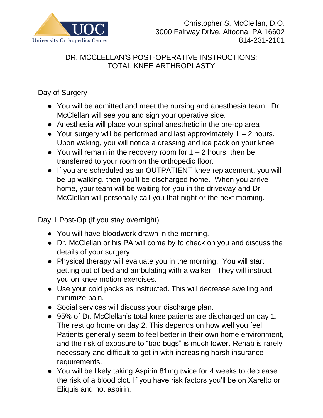

## DR. MCCLELLAN'S POST-OPERATIVE INSTRUCTIONS: TOTAL KNEE ARTHROPLASTY

Day of Surgery

- You will be admitted and meet the nursing and anesthesia team. Dr. McClellan will see you and sign your operative side.
- Anesthesia will place your spinal anesthetic in the pre-op area
- Your surgery will be performed and last approximately  $1 2$  hours. Upon waking, you will notice a dressing and ice pack on your knee.
- $\bullet$  You will remain in the recovery room for 1 2 hours, then be transferred to your room on the orthopedic floor.
- If you are scheduled as an OUTPATIENT knee replacement, you will be up walking, then you'll be discharged home. When you arrive home, your team will be waiting for you in the driveway and Dr McClellan will personally call you that night or the next morning.

Day 1 Post-Op (if you stay overnight)

- You will have bloodwork drawn in the morning.
- Dr. McClellan or his PA will come by to check on you and discuss the details of your surgery.
- Physical therapy will evaluate you in the morning. You will start getting out of bed and ambulating with a walker. They will instruct you on knee motion exercises.
- Use your cold packs as instructed. This will decrease swelling and minimize pain.
- Social services will discuss your discharge plan.
- 95% of Dr. McClellan's total knee patients are discharged on day 1. The rest go home on day 2. This depends on how well you feel. Patients generally seem to feel better in their own home environment, and the risk of exposure to "bad bugs" is much lower. Rehab is rarely necessary and difficult to get in with increasing harsh insurance requirements.
- You will be likely taking Aspirin 81mg twice for 4 weeks to decrease the risk of a blood clot. If you have risk factors you'll be on Xarelto or Eliquis and not aspirin.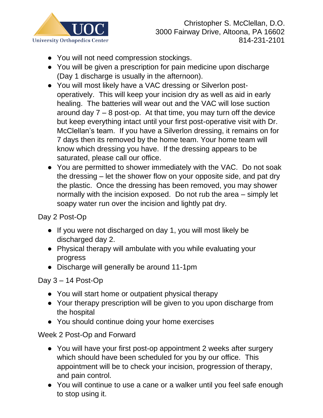

- You will not need compression stockings.
- You will be given a prescription for pain medicine upon discharge (Day 1 discharge is usually in the afternoon).
- You will most likely have a VAC dressing or Silverlon postoperatively. This will keep your incision dry as well as aid in early healing. The batteries will wear out and the VAC will lose suction around day  $7 - 8$  post-op. At that time, you may turn off the device but keep everything intact until your first post-operative visit with Dr. McClellan's team. If you have a Silverlon dressing, it remains on for 7 days then its removed by the home team. Your home team will know which dressing you have. If the dressing appears to be saturated, please call our office.
- You are permitted to shower immediately with the VAC. Do not soak the dressing – let the shower flow on your opposite side, and pat dry the plastic. Once the dressing has been removed, you may shower normally with the incision exposed. Do not rub the area – simply let soapy water run over the incision and lightly pat dry.

Day 2 Post-Op

- If you were not discharged on day 1, you will most likely be discharged day 2.
- Physical therapy will ambulate with you while evaluating your progress
- Discharge will generally be around 11-1pm

Day 3 – 14 Post-Op

- You will start home or outpatient physical therapy
- Your therapy prescription will be given to you upon discharge from the hospital
- You should continue doing your home exercises

Week 2 Post-Op and Forward

- You will have your first post-op appointment 2 weeks after surgery which should have been scheduled for you by our office. This appointment will be to check your incision, progression of therapy, and pain control.
- You will continue to use a cane or a walker until you feel safe enough to stop using it.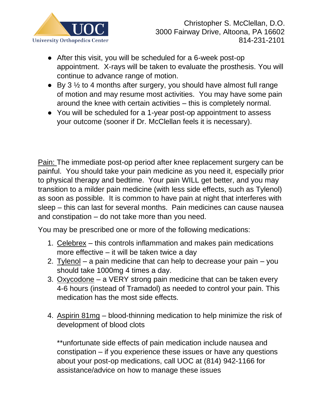

- After this visit, you will be scheduled for a 6-week post-op appointment. X-rays will be taken to evaluate the prosthesis. You will continue to advance range of motion.
- $\bullet$  By 3  $\frac{1}{2}$  to 4 months after surgery, you should have almost full range of motion and may resume most activities. You may have some pain around the knee with certain activities – this is completely normal.
- You will be scheduled for a 1-year post-op appointment to assess your outcome (sooner if Dr. McClellan feels it is necessary).

Pain: The immediate post-op period after knee replacement surgery can be painful. You should take your pain medicine as you need it, especially prior to physical therapy and bedtime. Your pain WILL get better, and you may transition to a milder pain medicine (with less side effects, such as Tylenol) as soon as possible. It is common to have pain at night that interferes with sleep – this can last for several months. Pain medicines can cause nausea and constipation – do not take more than you need.

You may be prescribed one or more of the following medications:

- 1. Celebrex this controls inflammation and makes pain medications more effective – it will be taken twice a day
- 2. Tylenol a pain medicine that can help to decrease your pain you should take 1000mg 4 times a day.
- 3. Oxycodone a VERY strong pain medicine that can be taken every 4-6 hours (instead of Tramadol) as needed to control your pain. This medication has the most side effects.
- 4. Aspirin 81mg blood-thinning medication to help minimize the risk of development of blood clots

\*\*unfortunate side effects of pain medication include nausea and constipation – if you experience these issues or have any questions about your post-op medications, call UOC at (814) 942-1166 for assistance/advice on how to manage these issues